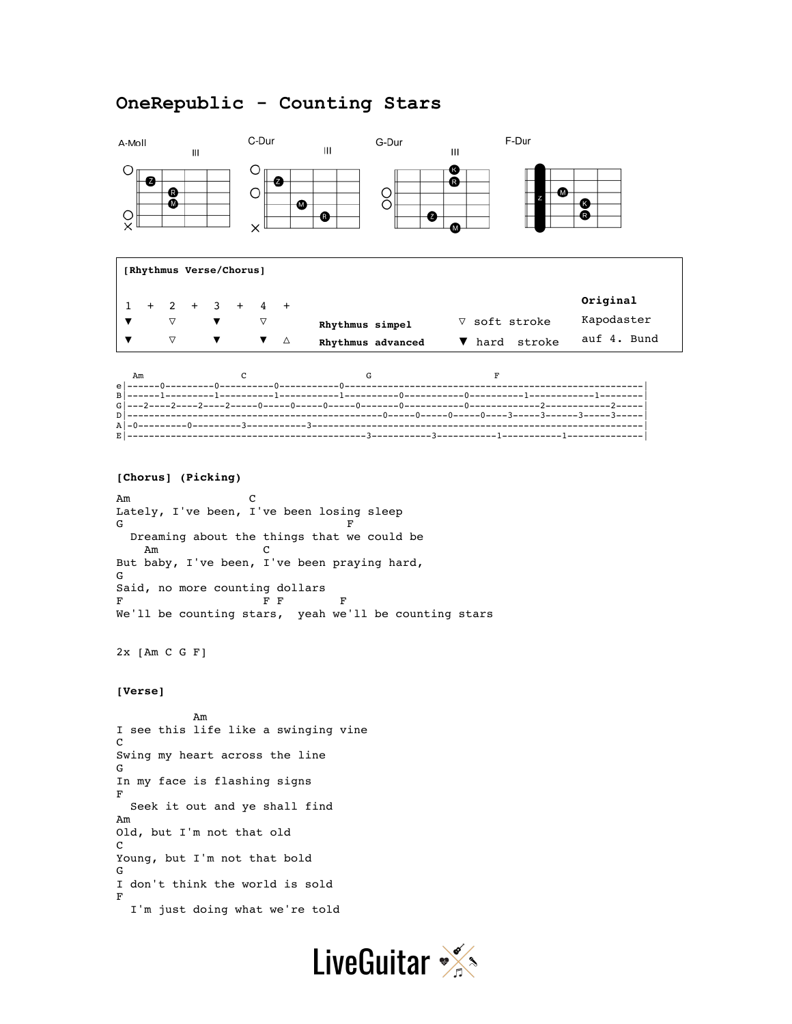# **OneRepublic - Counting Stars**



```
[Chorus] (Picking)
```
Am C Lately, I've been, I've been losing sleep  $G$  of  $F$  Dreaming about the things that we could be Am C But baby, I've been, I've been praying hard, G Said, no more counting dollars F F F F We'll be counting stars, yeah we'll be counting stars

2x [Am C G F]

#### **[Verse]**

 Am I see this life like a swinging vine  $\mathcal{C}$ Swing my heart across the line G In my face is flashing signs F Seek it out and ye shall find Am Old, but I'm not that old C Young, but I'm not that bold G I don't think the world is sold F I'm just doing what we're told

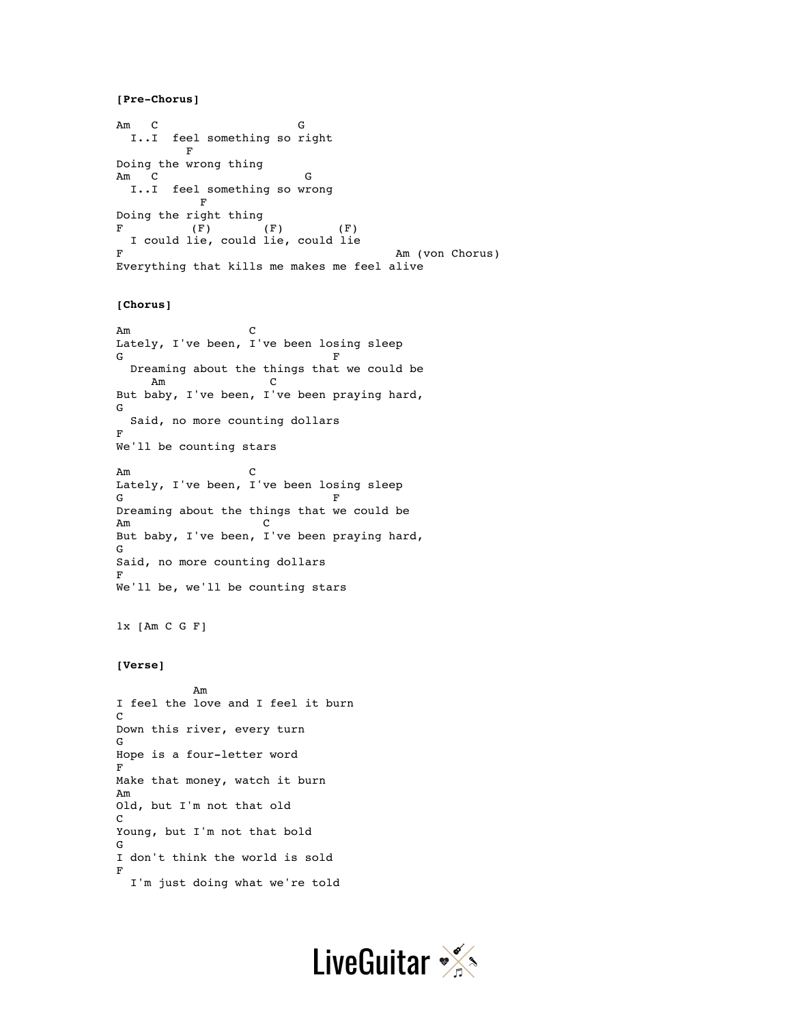## **[Pre-Chorus]**

```
Am C G
 I..I feel something so right
F
Doing the wrong thing
Am C G
 I..I feel something so wrong
        F
Doing the right thing
F (F) (F) (F)
  I could lie, could lie, could lie
F Am (von Chorus)
Everything that kills me makes me feel alive
```
## **[Chorus]**

Am C Lately, I've been, I've been losing sleep  $G$  of  $F$  Dreaming about the things that we could be Am C But baby, I've been, I've been praying hard, G Said, no more counting dollars  $\mathbf F$ We'll be counting stars Am C Lately, I've been, I've been losing sleep  $G$  of  $F$ Dreaming about the things that we could be Am C

But baby, I've been, I've been praying hard, G Said, no more counting dollars F We'll be, we'll be counting stars

1x [Am C G F]

#### **[Verse]**

 Am I feel the love and I feel it burn  $\mathcal{C}$ Down this river, every turn G Hope is a four-letter word F Make that money, watch it burn Am Old, but I'm not that old C Young, but I'm not that bold G I don't think the world is sold F I'm just doing what we're told